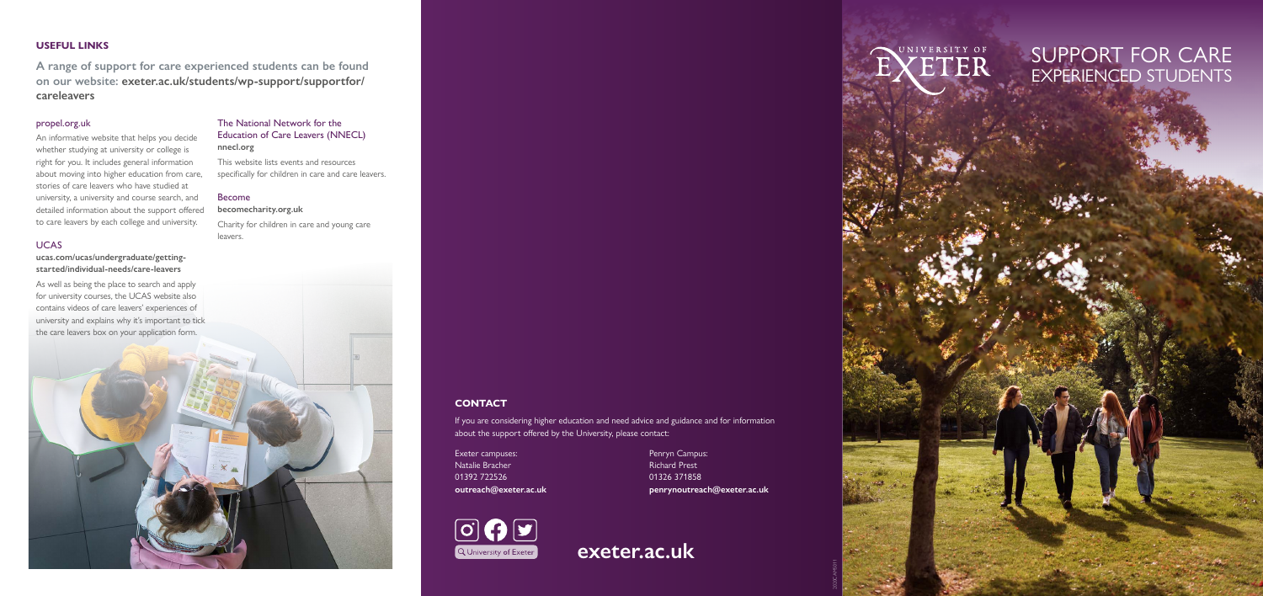2020CAMS011



# **USEFUL LINKS**

**A range of support for care experienced students can be found on our website: [exeter.ac.uk/students/wp-support/supportfor/](http://exeter.ac.uk/students/wp-support/supportfor/careleavers) careleavers**

# propel.org.uk

An informative website that helps you decide whether studying at university or college is right for you. It includes general information about moving into higher education from care, stories of care leavers who have studied at university, a university and course search, and detailed information about the support offered to care leavers by each college and university.

# **UCAS**

**[ucas.com/ucas/undergraduate/getting](http://ucas.com/ucas/undergraduate/getting-started/individual-needs/care-leavers)[started/individual-needs/care-leavers](http://ucas.com/ucas/undergraduate/getting-started/individual-needs/care-leavers)**

As well as being the place to search and apply for university courses, the UCAS website also contains videos of care leavers' experiences of university and explains why it's important to tick the care leavers box on your application form.

# The National Network for the Education of Care Leavers (NNECL) **[nnecl.org](http://nnecl.org)**

This website lists events and resources specifically for children in care and care leavers.

#### Become

**[becomecharity.org.uk](http://becomecharity.org.uk)** Charity for children in care and young care leavers.

# SUPPORT FOR CARE EXPERIENCED STUDENTS

**[exeter.ac.uk](http://exeter.ac.uk)**



# **CONTACT**

If you are considering higher education and need advice and guidance and for information about the support offered by the University, please contact:

Exeter campuses: Natalie Bracher 01392 722526 **[outreach@exeter.ac.uk](mailto:outreach@exeter.ac.uk)** Penryn Campus: Richard Prest 01326 371858 **[penrynoutreach@exeter.ac.uk](mailto:penrynoutreach@exeter.ac.uk)**